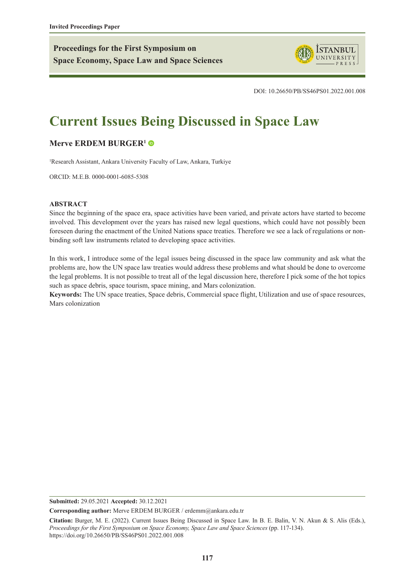**Proceedings for the First Symposium on Space Economy, Space Law and Space Sciences**



DOI: 10.26650/PB/SS46PS01.2022.001.008

# **Current Issues Being Discussed in Space Law**

## **[Merve ERDEM BURGER1](https://orcid.org/0000-0001-6085-5308)**

1 Research Assistant, Ankara University Faculty of Law, Ankara, Turkiye

ORCID: M.E.B. 0000-0001-6085-5308

#### **ABSTRACT**

Since the beginning of the space era, space activities have been varied, and private actors have started to become involved. This development over the years has raised new legal questions, which could have not possibly been foreseen during the enactment of the United Nations space treaties. Therefore we see a lack of regulations or nonbinding soft law instruments related to developing space activities.

In this work, I introduce some of the legal issues being discussed in the space law community and ask what the problems are, how the UN space law treaties would address these problems and what should be done to overcome the legal problems. It is not possible to treat all of the legal discussion here, therefore I pick some of the hot topics such as space debris, space tourism, space mining, and Mars colonization.

**Keywords:** The UN space treaties, Space debris, Commercial space flight, Utilization and use of space resources, Mars colonization

**Submitted:** 29.05.2021 **Accepted:** 30.12.2021

**Corresponding author:** Merve ERDEM BURGER / erdemm@ankara.edu.tr

**Citation:** Burger, M. E. (2022). Current Issues Being Discussed in Space Law. In B. E. Balin, V. N. Akun & S. Alis (Eds.), *Proceedings for the First Symposium on Space Economy, Space Law and Space Sciences* (pp. 117-134). https://doi.org/10.26650/PB/SS46PS01.2022.001.008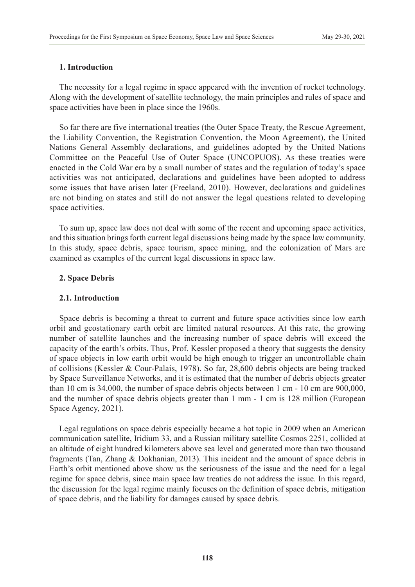#### **1. Introduction**

The necessity for a legal regime in space appeared with the invention of rocket technology. Along with the development of satellite technology, the main principles and rules of space and space activities have been in place since the 1960s.

So far there are five international treaties (the Outer Space Treaty, the Rescue Agreement, the Liability Convention, the Registration Convention, the Moon Agreement), the United Nations General Assembly declarations, and guidelines adopted by the United Nations Committee on the Peaceful Use of Outer Space (UNCOPUOS). As these treaties were enacted in the Cold War era by a small number of states and the regulation of today's space activities was not anticipated, declarations and guidelines have been adopted to address some issues that have arisen later (Freeland, 2010). However, declarations and guidelines are not binding on states and still do not answer the legal questions related to developing space activities.

To sum up, space law does not deal with some of the recent and upcoming space activities, and this situation brings forth current legal discussions being made by the space law community. In this study, space debris, space tourism, space mining, and the colonization of Mars are examined as examples of the current legal discussions in space law.

#### **2. Space Debris**

#### **2.1. Introduction**

Space debris is becoming a threat to current and future space activities since low earth orbit and geostationary earth orbit are limited natural resources. At this rate, the growing number of satellite launches and the increasing number of space debris will exceed the capacity of the earth's orbits. Thus, Prof. Kessler proposed a theory that suggests the density of space objects in low earth orbit would be high enough to trigger an uncontrollable chain of collisions (Kessler & Cour-Palais, 1978). So far, 28,600 debris objects are being tracked by Space Surveillance Networks, and it is estimated that the number of debris objects greater than 10 cm is 34,000, the number of space debris objects between 1 cm - 10 cm are 900,000, and the number of space debris objects greater than 1 mm - 1 cm is 128 million (European Space Agency, 2021).

Legal regulations on space debris especially became a hot topic in 2009 when an American communication satellite, Iridium 33, and a Russian military satellite Cosmos 2251, collided at an altitude of eight hundred kilometers above sea level and generated more than two thousand fragments (Tan, Zhang & Dokhanian, 2013). This incident and the amount of space debris in Earth's orbit mentioned above show us the seriousness of the issue and the need for a legal regime for space debris, since main space law treaties do not address the issue. In this regard, the discussion for the legal regime mainly focuses on the definition of space debris, mitigation of space debris, and the liability for damages caused by space debris.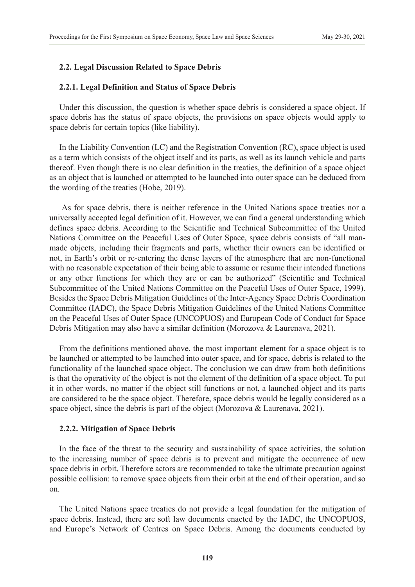## **2.2. Legal Discussion Related to Space Debris**

#### **2.2.1. Legal Definition and Status of Space Debris**

Under this discussion, the question is whether space debris is considered a space object. If space debris has the status of space objects, the provisions on space objects would apply to space debris for certain topics (like liability).

In the Liability Convention (LC) and the Registration Convention (RC), space object is used as a term which consists of the object itself and its parts, as well as its launch vehicle and parts thereof. Even though there is no clear definition in the treaties, the definition of a space object as an object that is launched or attempted to be launched into outer space can be deduced from the wording of the treaties (Hobe, 2019).

 As for space debris, there is neither reference in the United Nations space treaties nor a universally accepted legal definition of it. However, we can find a general understanding which defines space debris. According to the Scientific and Technical Subcommittee of the United Nations Committee on the Peaceful Uses of Outer Space, space debris consists of "all manmade objects, including their fragments and parts, whether their owners can be identified or not, in Earth's orbit or re-entering the dense layers of the atmosphere that are non-functional with no reasonable expectation of their being able to assume or resume their intended functions or any other functions for which they are or can be authorized" (Scientific and Technical Subcommittee of the United Nations Committee on the Peaceful Uses of Outer Space, 1999). Besides the Space Debris Mitigation Guidelines of the Inter-Agency Space Debris Coordination Committee (IADC), the Space Debris Mitigation Guidelines of the United Nations Committee on the Peaceful Uses of Outer Space (UNCOPUOS) and European Code of Conduct for Space Debris Mitigation may also have a similar definition (Morozova & Laurenava, 2021).

From the definitions mentioned above, the most important element for a space object is to be launched or attempted to be launched into outer space, and for space, debris is related to the functionality of the launched space object. The conclusion we can draw from both definitions is that the operativity of the object is not the element of the definition of a space object. To put it in other words, no matter if the object still functions or not, a launched object and its parts are considered to be the space object. Therefore, space debris would be legally considered as a space object, since the debris is part of the object (Morozova & Laurenava, 2021).

#### **2.2.2. Mitigation of Space Debris**

In the face of the threat to the security and sustainability of space activities, the solution to the increasing number of space debris is to prevent and mitigate the occurrence of new space debris in orbit. Therefore actors are recommended to take the ultimate precaution against possible collision: to remove space objects from their orbit at the end of their operation, and so on.

The United Nations space treaties do not provide a legal foundation for the mitigation of space debris. Instead, there are soft law documents enacted by the IADC, the UNCOPUOS, and Europe's Network of Centres on Space Debris. Among the documents conducted by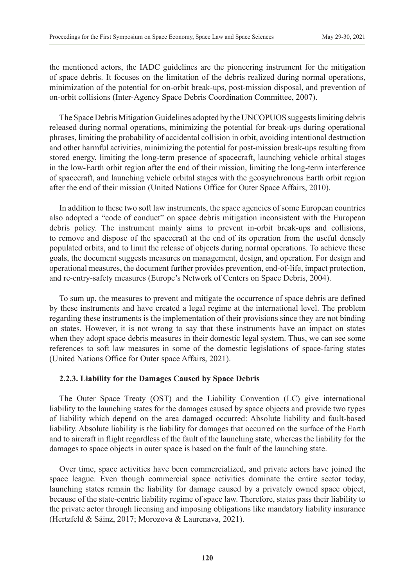the mentioned actors, the IADC guidelines are the pioneering instrument for the mitigation of space debris. It focuses on the limitation of the debris realized during normal operations, minimization of the potential for on-orbit break-ups, post-mission disposal, and prevention of on-orbit collisions (Inter-Agency Space Debris Coordination Committee, 2007).

The Space Debris Mitigation Guidelines adopted by the UNCOPUOS suggests limiting debris released during normal operations, minimizing the potential for break-ups during operational phrases, limiting the probability of accidental collision in orbit, avoiding intentional destruction and other harmful activities, minimizing the potential for post-mission break-ups resulting from stored energy, limiting the long-term presence of spacecraft, launching vehicle orbital stages in the low-Earth orbit region after the end of their mission, limiting the long-term interference of spacecraft, and launching vehicle orbital stages with the geosynchronous Earth orbit region after the end of their mission (United Nations Office for Outer Space Affairs, 2010).

In addition to these two soft law instruments, the space agencies of some European countries also adopted a "code of conduct" on space debris mitigation inconsistent with the European debris policy. The instrument mainly aims to prevent in-orbit break-ups and collisions, to remove and dispose of the spacecraft at the end of its operation from the useful densely populated orbits, and to limit the release of objects during normal operations. To achieve these goals, the document suggests measures on management, design, and operation. For design and operational measures, the document further provides prevention, end-of-life, impact protection, and re-entry-safety measures (Europe's Network of Centers on Space Debris, 2004).

To sum up, the measures to prevent and mitigate the occurrence of space debris are defined by these instruments and have created a legal regime at the international level. The problem regarding these instruments is the implementation of their provisions since they are not binding on states. However, it is not wrong to say that these instruments have an impact on states when they adopt space debris measures in their domestic legal system. Thus, we can see some references to soft law measures in some of the domestic legislations of space-faring states (United Nations Office for Outer space Affairs, 2021).

# **2.2.3. Liability for the Damages Caused by Space Debris**

The Outer Space Treaty (OST) and the Liability Convention (LC) give international liability to the launching states for the damages caused by space objects and provide two types of liability which depend on the area damaged occurred: Absolute liability and fault-based liability. Absolute liability is the liability for damages that occurred on the surface of the Earth and to aircraft in flight regardless of the fault of the launching state, whereas the liability for the damages to space objects in outer space is based on the fault of the launching state.

Over time, space activities have been commercialized, and private actors have joined the space league. Even though commercial space activities dominate the entire sector today, launching states remain the liability for damage caused by a privately owned space object, because of the state-centric liability regime of space law. Therefore, states pass their liability to the private actor through licensing and imposing obligations like mandatory liability insurance (Hertzfeld & Sáinz, 2017; Morozova & Laurenava, 2021).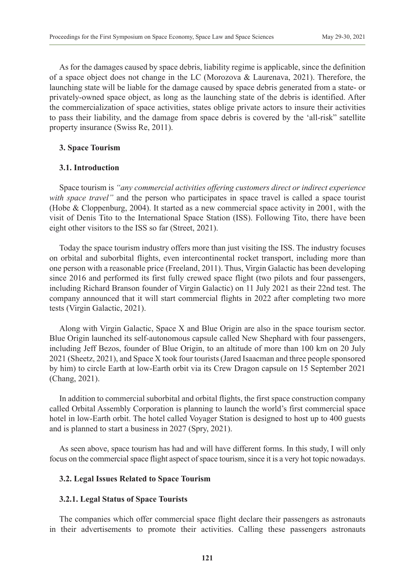As for the damages caused by space debris, liability regime is applicable, since the definition of a space object does not change in the LC (Morozova & Laurenava, 2021). Therefore, the launching state will be liable for the damage caused by space debris generated from a state- or privately-owned space object, as long as the launching state of the debris is identified. After the commercialization of space activities, states oblige private actors to insure their activities to pass their liability, and the damage from space debris is covered by the 'all-risk" satellite property insurance (Swiss Re, 2011).

# **3. Space Tourism**

## **3.1. Introduction**

Space tourism is *"any commercial activities offering customers direct or indirect experience with space travel*" and the person who participates in space travel is called a space tourist (Hobe & Cloppenburg, 2004). It started as a new commercial space activity in 2001, with the visit of Denis Tito to the International Space Station (ISS). Following Tito, there have been eight other visitors to the ISS so far (Street, 2021).

Today the space tourism industry offers more than just visiting the ISS. The industry focuses on orbital and suborbital flights, even intercontinental rocket transport, including more than one person with a reasonable price (Freeland, 2011). Thus, Virgin Galactic has been developing since 2016 and performed its first fully crewed space flight (two pilots and four passengers, including Richard Branson founder of Virgin Galactic) on 11 July 2021 as their 22nd test. The company announced that it will start commercial flights in 2022 after completing two more tests (Virgin Galactic, 2021).

Along with Virgin Galactic, Space X and Blue Origin are also in the space tourism sector. Blue Origin launched its self-autonomous capsule called New Shephard with four passengers, including Jeff Bezos, founder of Blue Origin, to an altitude of more than 100 km on 20 July 2021 (Sheetz, 2021), and Space X took four tourists (Jared Isaacman and three people sponsored by him) to circle Earth at low-Earth orbit via its Crew Dragon capsule on 15 September 2021 (Chang, 2021).

In addition to commercial suborbital and orbital flights, the first space construction company called Orbital Assembly Corporation is planning to launch the world's first commercial space hotel in low-Earth orbit. The hotel called Voyager Station is designed to host up to 400 guests and is planned to start a business in 2027 (Spry, 2021).

As seen above, space tourism has had and will have different forms. In this study, I will only focus on the commercial space flight aspect of space tourism, since it is a very hot topic nowadays.

# **3.2. Legal Issues Related to Space Tourism**

# **3.2.1. Legal Status of Space Tourists**

The companies which offer commercial space flight declare their passengers as astronauts in their advertisements to promote their activities. Calling these passengers astronauts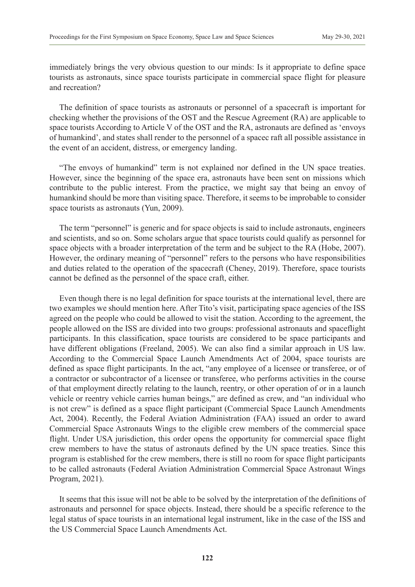immediately brings the very obvious question to our minds: Is it appropriate to define space tourists as astronauts, since space tourists participate in commercial space flight for pleasure and recreation?

The definition of space tourists as astronauts or personnel of a spacecraft is important for checking whether the provisions of the OST and the Rescue Agreement (RA) are applicable to space tourists According to Article V of the OST and the RA, astronauts are defined as 'envoys of humankind', and states shall render to the personnel of a spacec raft all possible assistance in the event of an accident, distress, or emergency landing.

"The envoys of humankind" term is not explained nor defined in the UN space treaties. However, since the beginning of the space era, astronauts have been sent on missions which contribute to the public interest. From the practice, we might say that being an envoy of humankind should be more than visiting space. Therefore, it seems to be improbable to consider space tourists as astronauts (Yun, 2009).

The term "personnel" is generic and for space objects is said to include astronauts, engineers and scientists, and so on. Some scholars argue that space tourists could qualify as personnel for space objects with a broader interpretation of the term and be subject to the RA (Hobe, 2007). However, the ordinary meaning of "personnel" refers to the persons who have responsibilities and duties related to the operation of the spacecraft (Cheney, 2019). Therefore, space tourists cannot be defined as the personnel of the space craft, either.

Even though there is no legal definition for space tourists at the international level, there are two examples we should mention here. After Tito's visit, participating space agencies of the ISS agreed on the people who could be allowed to visit the station. According to the agreement, the people allowed on the ISS are divided into two groups: professional astronauts and spaceflight participants. In this classification, space tourists are considered to be space participants and have different obligations (Freeland, 2005). We can also find a similar approach in US law. According to the Commercial Space Launch Amendments Act of 2004, space tourists are defined as space flight participants. In the act, "any employee of a licensee or transferee, or of a contractor or subcontractor of a licensee or transferee, who performs activities in the course of that employment directly relating to the launch, reentry, or other operation of or in a launch vehicle or reentry vehicle carries human beings," are defined as crew, and "an individual who is not crew" is defined as a space flight participant (Commercial Space Launch Amendments Act, 2004). Recently, the Federal Aviation Administration (FAA) issued an order to award Commercial Space Astronauts Wings to the eligible crew members of the commercial space flight. Under USA jurisdiction, this order opens the opportunity for commercial space flight crew members to have the status of astronauts defined by the UN space treaties. Since this program is established for the crew members, there is still no room for space flight participants to be called astronauts (Federal Aviation Administration Commercial Space Astronaut Wings Program, 2021).

It seems that this issue will not be able to be solved by the interpretation of the definitions of astronauts and personnel for space objects. Instead, there should be a specific reference to the legal status of space tourists in an international legal instrument, like in the case of the ISS and the US Commercial Space Launch Amendments Act.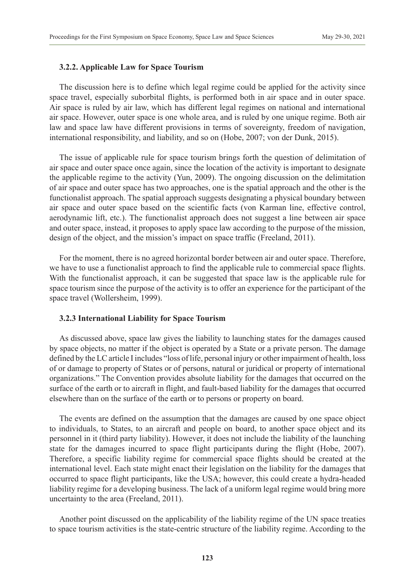#### **3.2.2. Applicable Law for Space Tourism**

The discussion here is to define which legal regime could be applied for the activity since space travel, especially suborbital flights, is performed both in air space and in outer space. Air space is ruled by air law, which has different legal regimes on national and international air space. However, outer space is one whole area, and is ruled by one unique regime. Both air law and space law have different provisions in terms of sovereignty, freedom of navigation, international responsibility, and liability, and so on (Hobe, 2007; von der Dunk, 2015).

The issue of applicable rule for space tourism brings forth the question of delimitation of air space and outer space once again, since the location of the activity is important to designate the applicable regime to the activity (Yun, 2009). The ongoing discussion on the delimitation of air space and outer space has two approaches, one is the spatial approach and the other is the functionalist approach. The spatial approach suggests designating a physical boundary between air space and outer space based on the scientific facts (von Karman line, effective control, aerodynamic lift, etc.). The functionalist approach does not suggest a line between air space and outer space, instead, it proposes to apply space law according to the purpose of the mission, design of the object, and the mission's impact on space traffic (Freeland, 2011).

For the moment, there is no agreed horizontal border between air and outer space. Therefore, we have to use a functionalist approach to find the applicable rule to commercial space flights. With the functionalist approach, it can be suggested that space law is the applicable rule for space tourism since the purpose of the activity is to offer an experience for the participant of the space travel (Wollersheim, 1999).

#### **3.2.3 International Liability for Space Tourism**

As discussed above, space law gives the liability to launching states for the damages caused by space objects, no matter if the object is operated by a State or a private person. The damage defined by the LC article I includes "loss of life, personal injury or other impairment of health, loss of or damage to property of States or of persons, natural or juridical or property of international organizations." The Convention provides absolute liability for the damages that occurred on the surface of the earth or to aircraft in flight, and fault-based liability for the damages that occurred elsewhere than on the surface of the earth or to persons or property on board.

The events are defined on the assumption that the damages are caused by one space object to individuals, to States, to an aircraft and people on board, to another space object and its personnel in it (third party liability). However, it does not include the liability of the launching state for the damages incurred to space flight participants during the flight (Hobe, 2007). Therefore, a specific liability regime for commercial space flights should be created at the international level. Each state might enact their legislation on the liability for the damages that occurred to space flight participants, like the USA; however, this could create a hydra-headed liability regime for a developing business. The lack of a uniform legal regime would bring more uncertainty to the area (Freeland, 2011).

Another point discussed on the applicability of the liability regime of the UN space treaties to space tourism activities is the state-centric structure of the liability regime. According to the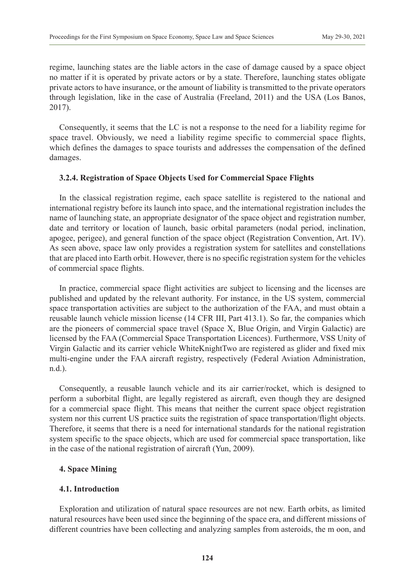regime, launching states are the liable actors in the case of damage caused by a space object no matter if it is operated by private actors or by a state. Therefore, launching states obligate private actors to have insurance, or the amount of liability is transmitted to the private operators through legislation, like in the case of Australia (Freeland, 2011) and the USA (Los Banos, 2017).

Consequently, it seems that the LC is not a response to the need for a liability regime for space travel. Obviously, we need a liability regime specific to commercial space flights, which defines the damages to space tourists and addresses the compensation of the defined damages.

## **3.2.4. Registration of Space Objects Used for Commercial Space Flights**

In the classical registration regime, each space satellite is registered to the national and international registry before its launch into space, and the international registration includes the name of launching state, an appropriate designator of the space object and registration number, date and territory or location of launch, basic orbital parameters (nodal period, inclination, apogee, perigee), and general function of the space object (Registration Convention, Art. IV). As seen above, space law only provides a registration system for satellites and constellations that are placed into Earth orbit. However, there is no specific registration system for the vehicles of commercial space flights.

In practice, commercial space flight activities are subject to licensing and the licenses are published and updated by the relevant authority. For instance, in the US system, commercial space transportation activities are subject to the authorization of the FAA, and must obtain a reusable launch vehicle mission license (14 CFR III, Part 413.1). So far, the companies which are the pioneers of commercial space travel (Space X, Blue Origin, and Virgin Galactic) are licensed by the FAA (Commercial Space Transportation Licences). Furthermore, VSS Unity of Virgin Galactic and its carrier vehicle WhiteKnightTwo are registered as glider and fixed mix multi-engine under the FAA aircraft registry, respectively (Federal Aviation Administration, n.d.).

Consequently, a reusable launch vehicle and its air carrier/rocket, which is designed to perform a suborbital flight, are legally registered as aircraft, even though they are designed for a commercial space flight. This means that neither the current space object registration system nor this current US practice suits the registration of space transportation/flight objects. Therefore, it seems that there is a need for international standards for the national registration system specific to the space objects, which are used for commercial space transportation, like in the case of the national registration of aircraft (Yun, 2009).

#### **4. Space Mining**

# **4.1. Introduction**

Exploration and utilization of natural space resources are not new. Earth orbits, as limited natural resources have been used since the beginning of the space era, and different missions of different countries have been collecting and analyzing samples from asteroids, the m oon, and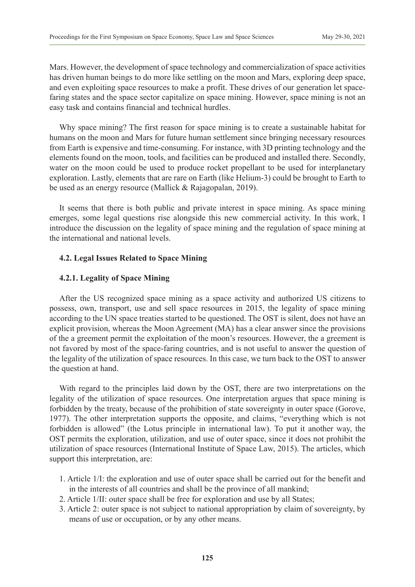Mars. However, the development of space technology and commercialization of space activities has driven human beings to do more like settling on the moon and Mars, exploring deep space, and even exploiting space resources to make a profit. These drives of our generation let spacefaring states and the space sector capitalize on space mining. However, space mining is not an easy task and contains financial and technical hurdles.

Why space mining? The first reason for space mining is to create a sustainable habitat for humans on the moon and Mars for future human settlement since bringing necessary resources from Earth is expensive and time-consuming. For instance, with 3D printing technology and the elements found on the moon, tools, and facilities can be produced and installed there. Secondly, water on the moon could be used to produce rocket propellant to be used for interplanetary exploration. Lastly, elements that are rare on Earth (like Helium-3) could be brought to Earth to be used as an energy resource (Mallick & Rajagopalan, 2019).

It seems that there is both public and private interest in space mining. As space mining emerges, some legal questions rise alongside this new commercial activity. In this work, I introduce the discussion on the legality of space mining and the regulation of space mining at the international and national levels.

## **4.2. Legal Issues Related to Space Mining**

## **4.2.1. Legality of Space Mining**

After the US recognized space mining as a space activity and authorized US citizens to possess, own, transport, use and sell space resources in 2015, the legality of space mining according to the UN space treaties started to be questioned. The OST is silent, does not have an explicit provision, whereas the Moon Agreement (MA) has a clear answer since the provisions of the a greement permit the exploitation of the moon's resources. However, the a greement is not favored by most of the space-faring countries, and is not useful to answer the question of the legality of the utilization of space resources. In this case, we turn back to the OST to answer the question at hand.

With regard to the principles laid down by the OST, there are two interpretations on the legality of the utilization of space resources. One interpretation argues that space mining is forbidden by the treaty, because of the prohibition of state sovereignty in outer space (Gorove, 1977). The other interpretation supports the opposite, and claims, "everything which is not forbidden is allowed" (the Lotus principle in international law). To put it another way, the OST permits the exploration, utilization, and use of outer space, since it does not prohibit the utilization of space resources (International Institute of Space Law, 2015). The articles, which support this interpretation, are:

- 1. Article 1/I: the exploration and use of outer space shall be carried out for the benefit and in the interests of all countries and shall be the province of all mankind;
- 2. Article 1/II: outer space shall be free for exploration and use by all States;
- 3. Article 2: outer space is not subject to national appropriation by claim of sovereignty, by means of use or occupation, or by any other means.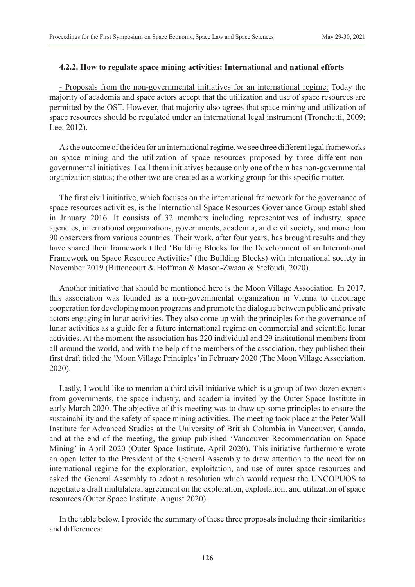## **4.2.2. How to regulate space mining activities: International and national efforts**

- Proposals from the non-governmental initiatives for an international regime: Today the majority of academia and space actors accept that the utilization and use of space resources are permitted by the OST. However, that majority also agrees that space mining and utilization of space resources should be regulated under an international legal instrument (Tronchetti, 2009; Lee, 2012).

As the outcome of the idea for an international regime, we see three different legal frameworks on space mining and the utilization of space resources proposed by three different nongovernmental initiatives. I call them initiatives because only one of them has non-governmental organization status; the other two are created as a working group for this specific matter.

The first civil initiative, which focuses on the international framework for the governance of space resources activities, is the International Space Resources Governance Group established in January 2016. It consists of 32 members including representatives of industry, space agencies, international organizations, governments, academia, and civil society, and more than 90 observers from various countries. Their work, after four years, has brought results and they have shared their framework titled 'Building Blocks for the Development of an International Framework on Space Resource Activities' (the Building Blocks) with international society in November 2019 (Bittencourt & Hoffman & Mason-Zwaan & Stefoudi, 2020).

Another initiative that should be mentioned here is the Moon Village Association. In 2017, this association was founded as a non-governmental organization in Vienna to encourage cooperation for developing moon programs and promote the dialogue between public and private actors engaging in lunar activities. They also come up with the principles for the governance of lunar activities as a guide for a future international regime on commercial and scientific lunar activities. At the moment the association has 220 individual and 29 institutional members from all around the world, and with the help of the members of the association, they published their first draft titled the 'Moon Village Principles' in February 2020 (The Moon Village Association, 2020).

Lastly, I would like to mention a third civil initiative which is a group of two dozen experts from governments, the space industry, and academia invited by the Outer Space Institute in early March 2020. The objective of this meeting was to draw up some principles to ensure the sustainability and the safety of space mining activities. The meeting took place at the Peter Wall Institute for Advanced Studies at the University of British Columbia in Vancouver, Canada, and at the end of the meeting, the group published 'Vancouver Recommendation on Space Mining' in April 2020 (Outer Space Institute, April 2020). This initiative furthermore wrote an open letter to the President of the General Assembly to draw attention to the need for an international regime for the exploration, exploitation, and use of outer space resources and asked the General Assembly to adopt a resolution which would request the UNCOPUOS to negotiate a draft multilateral agreement on the exploration, exploitation, and utilization of space resources (Outer Space Institute, August 2020).

In the table below, I provide the summary of these three proposals including their similarities and differences: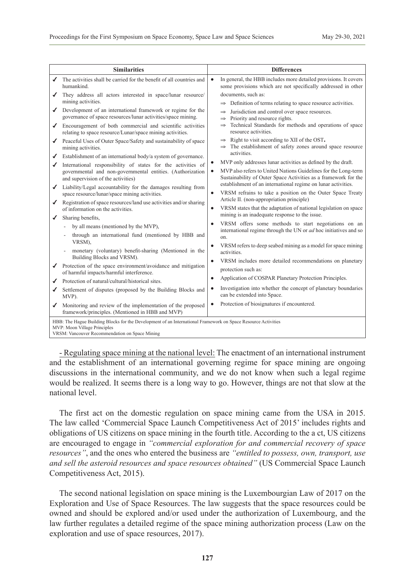| <b>Similarities</b>                                                                                                                                                                             |                                                                                                                                                                                                                                                                                                                                                                                                                                                                                                                                                                                                                                                                                                                                                                                                                                                                                                                                                                                                                                                                                                                                                                                                                                                                                                                                                                       | <b>Differences</b>                                                                                                |                                                                                                                                                                                                                                                                                                                                                                                                                                                                                                                                                                                                                                                                                                                                                                                                                                                                                                                                                                                                                                                                                                                                                                                                                                                                                                                                                                                                                                                   |
|-------------------------------------------------------------------------------------------------------------------------------------------------------------------------------------------------|-----------------------------------------------------------------------------------------------------------------------------------------------------------------------------------------------------------------------------------------------------------------------------------------------------------------------------------------------------------------------------------------------------------------------------------------------------------------------------------------------------------------------------------------------------------------------------------------------------------------------------------------------------------------------------------------------------------------------------------------------------------------------------------------------------------------------------------------------------------------------------------------------------------------------------------------------------------------------------------------------------------------------------------------------------------------------------------------------------------------------------------------------------------------------------------------------------------------------------------------------------------------------------------------------------------------------------------------------------------------------|-------------------------------------------------------------------------------------------------------------------|---------------------------------------------------------------------------------------------------------------------------------------------------------------------------------------------------------------------------------------------------------------------------------------------------------------------------------------------------------------------------------------------------------------------------------------------------------------------------------------------------------------------------------------------------------------------------------------------------------------------------------------------------------------------------------------------------------------------------------------------------------------------------------------------------------------------------------------------------------------------------------------------------------------------------------------------------------------------------------------------------------------------------------------------------------------------------------------------------------------------------------------------------------------------------------------------------------------------------------------------------------------------------------------------------------------------------------------------------------------------------------------------------------------------------------------------------|
| ✔                                                                                                                                                                                               | The activities shall be carried for the benefit of all countries and<br>humankind.                                                                                                                                                                                                                                                                                                                                                                                                                                                                                                                                                                                                                                                                                                                                                                                                                                                                                                                                                                                                                                                                                                                                                                                                                                                                                    | $\bullet$                                                                                                         | In general, the HBB includes more detailed provisions. It covers<br>some provisions which are not specifically addressed in other                                                                                                                                                                                                                                                                                                                                                                                                                                                                                                                                                                                                                                                                                                                                                                                                                                                                                                                                                                                                                                                                                                                                                                                                                                                                                                                 |
| ✔<br>✔<br>✔<br>✔<br>✔<br>✔<br>✔<br>✔<br>✔<br>✔<br>✔                                                                                                                                             | They address all actors interested in space/lunar resource/<br>mining activities.<br>Development of an international framework or regime for the<br>governance of space resources/lunar activities/space mining.<br>Encouragement of both commercial and scientific activities<br>relating to space resource/Lunar/space mining activities.<br>Peaceful Uses of Outer Space/Safety and sustainability of space<br>mining activities.<br>Establishment of an international body/a system of governance.<br>International responsibility of states for the activities of<br>governmental and non-governmental entities. (Authorization<br>and supervision of the activities)<br>Liability/Legal accountability for the damages resulting from<br>space resource/lunar/space mining activities.<br>Registration of space resources/land use activities and/or sharing<br>of information on the activities.<br>Sharing benefits,<br>by all means (mentioned by the MVP),<br>through an international fund (mentioned by HBB and<br>VRSM),<br>monetary (voluntary) benefit-sharing (Mentioned in the<br>Building Blocks and VRSM).<br>Protection of the space environment/avoidance and mitigation<br>of harmful impacts/harmful interference.<br>Protection of natural/cultural/historical sites.<br>Settlement of disputes (proposed by the Building Blocks and<br>MVP). | $\bullet$<br>$\bullet$<br>$\bullet$<br>$\bullet$<br>$\bullet$<br>$\bullet$<br>$\bullet$<br>$\bullet$<br>$\bullet$ | documents, such as:<br>$\Rightarrow$ Definition of terms relating to space resource activities.<br>Jurisdiction and control over space resources.<br>$\Rightarrow$<br>Priority and resource rights.<br>$\Rightarrow$<br>Technical Standards for methods and operations of space<br>$\Rightarrow$<br>resource activities.<br>Right to visit according to XII of the OST.<br>$\Rightarrow$<br>The establishment of safety zones around space resource<br>activities.<br>MVP only addresses lunar activities as defined by the draft.<br>MVP also refers to United Nations Guidelines for the Long-term<br>Sustainability of Outer Space Activities as a framework for the<br>establishment of an international regime on lunar activities.<br>VRSM refrains to take a position on the Outer Space Treaty<br>Article II. (non-appropriation principle)<br>VRSM states that the adaptation of national legislation on space<br>mining is an inadequate response to the issue.<br>VRSM offers some methods to start negotiations on an<br>international regime through the UN or <i>ad</i> hoc initiatives and so<br>on.<br>VRSM refers to deep seabed mining as a model for space mining<br>activities.<br>VRSM includes more detailed recommendations on planetary<br>protection such as:<br>Application of COSPAR Planetary Protection Principles.<br>Investigation into whether the concept of planetary boundaries<br>can be extended into Space. |
|                                                                                                                                                                                                 | Monitoring and review of the implementation of the proposed<br>framework/principles. (Mentioned in HBB and MVP)                                                                                                                                                                                                                                                                                                                                                                                                                                                                                                                                                                                                                                                                                                                                                                                                                                                                                                                                                                                                                                                                                                                                                                                                                                                       | $\bullet$                                                                                                         | Protection of biosignatures if encountered.                                                                                                                                                                                                                                                                                                                                                                                                                                                                                                                                                                                                                                                                                                                                                                                                                                                                                                                                                                                                                                                                                                                                                                                                                                                                                                                                                                                                       |
| HBB: The Hague Building Blocks for the Development of an International Framework on Space Resource Activities<br>MVP: Moon Village Principles<br>VRSM: Vancouver Recommendation on Space Mining |                                                                                                                                                                                                                                                                                                                                                                                                                                                                                                                                                                                                                                                                                                                                                                                                                                                                                                                                                                                                                                                                                                                                                                                                                                                                                                                                                                       |                                                                                                                   |                                                                                                                                                                                                                                                                                                                                                                                                                                                                                                                                                                                                                                                                                                                                                                                                                                                                                                                                                                                                                                                                                                                                                                                                                                                                                                                                                                                                                                                   |

- Regulating space mining at the national level: The enactment of an international instrument and the establishment of an international governing regime for space mining are ongoing discussions in the international community, and we do not know when such a legal regime would be realized. It seems there is a long way to go. However, things are not that slow at the national level.

The first act on the domestic regulation on space mining came from the USA in 2015. The law called 'Commercial Space Launch Competitiveness Act of 2015' includes rights and obligations of US citizens on space mining in the fourth title. According to the a ct, US citizens are encouraged to engage in *"commercial exploration for and commercial recovery of space resources"*, and the ones who entered the business are *"entitled to possess, own, transport, use and sell the asteroid resources and space resources obtained"* (US Commercial Space Launch Competitiveness Act, 2015).

The second national legislation on space mining is the Luxembourgian Law of 2017 on the Exploration and Use of Space Resources. The law suggests that the space resources could be owned and should be explored and/or used under the authorization of Luxembourg, and the law further regulates a detailed regime of the space mining authorization process (Law on the exploration and use of space resources, 2017).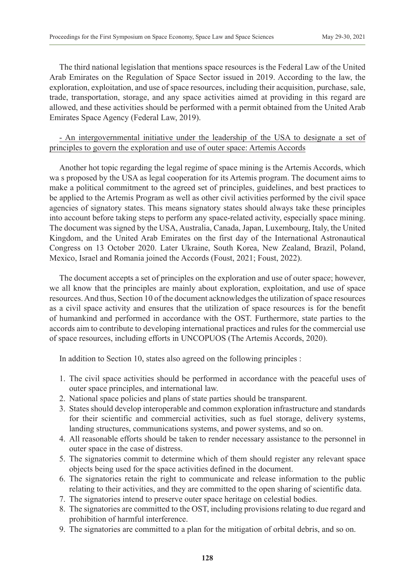The third national legislation that mentions space resources is the Federal Law of the United Arab Emirates on the Regulation of Space Sector issued in 2019. According to the law, the exploration, exploitation, and use of space resources, including their acquisition, purchase, sale, trade, transportation, storage, and any space activities aimed at providing in this regard are allowed, and these activities should be performed with a permit obtained from the United Arab Emirates Space Agency (Federal Law, 2019).

# - An intergovernmental initiative under the leadership of the USA to designate a set of principles to govern the exploration and use of outer space: Artemis Accords

Another hot topic regarding the legal regime of space mining is the Artemis Accords, which wa s proposed by the USA as legal cooperation for its Artemis program. The document aims to make a political commitment to the agreed set of principles, guidelines, and best practices to be applied to the Artemis Program as well as other civil activities performed by the civil space agencies of signatory states. This means signatory states should always take these principles into account before taking steps to perform any space-related activity, especially space mining. The document was signed by the USA, Australia, Canada, Japan, Luxembourg, Italy, the United Kingdom, and the United Arab Emirates on the first day of the International Astronautical Congress on 13 October 2020. Later Ukraine, South Korea, New Zealand, Brazil, Poland, Mexico, Israel and Romania joined the Accords (Foust, 2021; Foust, 2022).

The document accepts a set of principles on the exploration and use of outer space; however, we all know that the principles are mainly about exploration, exploitation, and use of space resources. And thus, Section 10 of the document acknowledges the utilization of space resources as a civil space activity and ensures that the utilization of space resources is for the benefit of humankind and performed in accordance with the OST. Furthermore, state parties to the accords aim to contribute to developing international practices and rules for the commercial use of space resources, including efforts in UNCOPUOS (The Artemis Accords, 2020).

In addition to Section 10, states also agreed on the following principles :

- 1. The civil space activities should be performed in accordance with the peaceful uses of outer space principles, and international law.
- 2. National space policies and plans of state parties should be transparent.
- 3. States should develop interoperable and common exploration infrastructure and standards for their scientific and commercial activities, such as fuel storage, delivery systems, landing structures, communications systems, and power systems, and so on.
- 4. All reasonable efforts should be taken to render necessary assistance to the personnel in outer space in the case of distress.
- 5. The signatories commit to determine which of them should register any relevant space objects being used for the space activities defined in the document.
- 6. The signatories retain the right to communicate and release information to the public relating to their activities, and they are committed to the open sharing of scientific data.
- 7. The signatories intend to preserve outer space heritage on celestial bodies.
- 8. The signatories are committed to the OST, including provisions relating to due regard and prohibition of harmful interference.
- 9. The signatories are committed to a plan for the mitigation of orbital debris, and so on.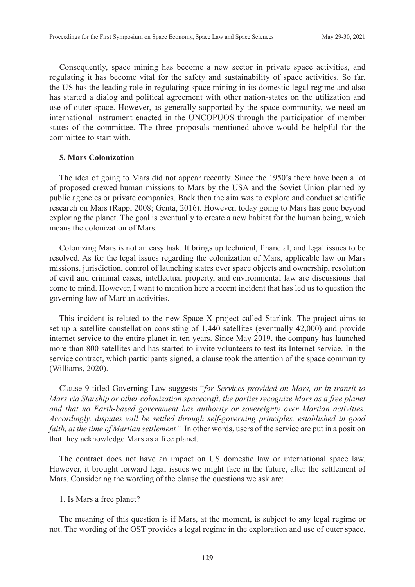Consequently, space mining has become a new sector in private space activities, and regulating it has become vital for the safety and sustainability of space activities. So far, the US has the leading role in regulating space mining in its domestic legal regime and also has started a dialog and political agreement with other nation-states on the utilization and use of outer space. However, as generally supported by the space community, we need an international instrument enacted in the UNCOPUOS through the participation of member states of the committee. The three proposals mentioned above would be helpful for the committee to start with.

## **5. Mars Colonization**

The idea of going to Mars did not appear recently. Since the 1950's there have been a lot of proposed crewed human missions to Mars by the USA and the Soviet Union planned by public agencies or private companies. Back then the aim was to explore and conduct scientific research on Mars (Rapp, 2008; Genta, 2016). However, today going to Mars has gone beyond exploring the planet. The goal is eventually to create a new habitat for the human being, which means the colonization of Mars.

Colonizing Mars is not an easy task. It brings up technical, financial, and legal issues to be resolved. As for the legal issues regarding the colonization of Mars, applicable law on Mars missions, jurisdiction, control of launching states over space objects and ownership, resolution of civil and criminal cases, intellectual property, and environmental law are discussions that come to mind. However, I want to mention here a recent incident that has led us to question the governing law of Martian activities.

This incident is related to the new Space X project called Starlink. The project aims to set up a satellite constellation consisting of 1,440 satellites (eventually 42,000) and provide internet service to the entire planet in ten years. Since May 2019, the company has launched more than 800 satellites and has started to invite volunteers to test its Internet service. In the service contract, which participants signed, a clause took the attention of the space community (Williams, 2020).

Clause 9 titled Governing Law suggests "*for Services provided on Mars, or in transit to Mars via Starship or other colonization spacecraft, the parties recognize Mars as a free planet and that no Earth-based government has authority or sovereignty over Martian activities. Accordingly, disputes will be settled through self-governing principles, established in good faith, at the time of Martian settlement".* In other words, users of the service are put in a position that they acknowledge Mars as a free planet.

The contract does not have an impact on US domestic law or international space law. However, it brought forward legal issues we might face in the future, after the settlement of Mars. Considering the wording of the clause the questions we ask are:

#### 1. Is Mars a free planet?

The meaning of this question is if Mars, at the moment, is subject to any legal regime or not. The wording of the OST provides a legal regime in the exploration and use of outer space,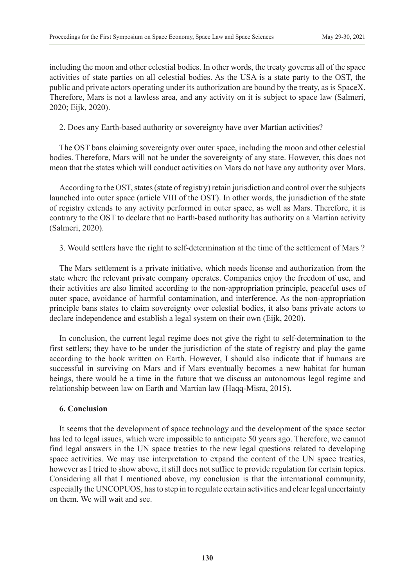including the moon and other celestial bodies. In other words, the treaty governs all of the space activities of state parties on all celestial bodies. As the USA is a state party to the OST, the public and private actors operating under its authorization are bound by the treaty, as is SpaceX. Therefore, Mars is not a lawless area, and any activity on it is subject to space law (Salmeri, 2020; Eijk, 2020).

2. Does any Earth-based authority or sovereignty have over Martian activities?

The OST bans claiming sovereignty over outer space, including the moon and other celestial bodies. Therefore, Mars will not be under the sovereignty of any state. However, this does not mean that the states which will conduct activities on Mars do not have any authority over Mars.

According to the OST, states (state of registry) retain jurisdiction and control over the subjects launched into outer space (article VIII of the OST). In other words, the jurisdiction of the state of registry extends to any activity performed in outer space, as well as Mars. Therefore, it is contrary to the OST to declare that no Earth-based authority has authority on a Martian activity (Salmeri, 2020).

3. Would settlers have the right to self-determination at the time of the settlement of Mars ?

The Mars settlement is a private initiative, which needs license and authorization from the state where the relevant private company operates. Companies enjoy the freedom of use, and their activities are also limited according to the non-appropriation principle, peaceful uses of outer space, avoidance of harmful contamination, and interference. As the non-appropriation principle bans states to claim sovereignty over celestial bodies, it also bans private actors to declare independence and establish a legal system on their own (Eijk, 2020).

In conclusion, the current legal regime does not give the right to self-determination to the first settlers; they have to be under the jurisdiction of the state of registry and play the game according to the book written on Earth. However, I should also indicate that if humans are successful in surviving on Mars and if Mars eventually becomes a new habitat for human beings, there would be a time in the future that we discuss an autonomous legal regime and relationship between law on Earth and Martian law (Haqq-Misra, 2015).

# **6. Conclusion**

It seems that the development of space technology and the development of the space sector has led to legal issues, which were impossible to anticipate 50 years ago. Therefore, we cannot find legal answers in the UN space treaties to the new legal questions related to developing space activities. We may use interpretation to expand the content of the UN space treaties, however as I tried to show above, it still does not suffice to provide regulation for certain topics. Considering all that I mentioned above, my conclusion is that the international community, especially the UNCOPUOS, has to step in to regulate certain activities and clear legal uncertainty on them. We will wait and see.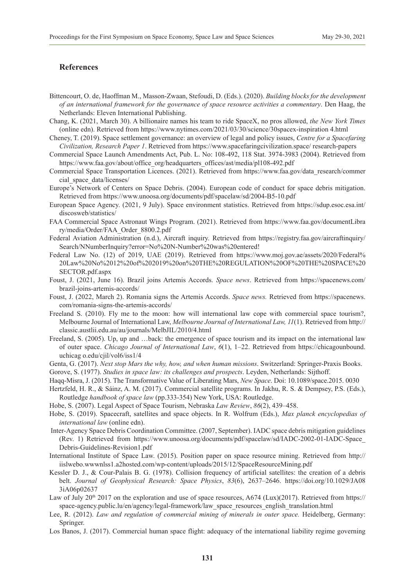#### **References**

- Bittencourt, O. de, Haoffman M., Masson-Zwaan, Stefoudi, D. (Eds.). (2020). *Building blocks for the development of an international framework for the governance of space resource activities a commentary*. Den Haag, the Netherlands: Eleven International Publishing.
- Chang, K. (2021, March 30). A billionaire names his team to ride SpaceX, no pros allowed, *the New York Times* (online edn). Retrieved from <https://www.nytimes.com/2021/03/30/science/30spacex-inspiration 4.html>
- Cheney, T. (2019). Space settlement governance: an overview of legal and policy issues, *Centre for a Spacefaring Civilization, Research Paper 1*. Retrieved from<https://www.spacefaringcivilization.space/ research-papers>
- Commercial Space Launch Amendments Act, Pub. L. No: 108-492, 118 Stat. 3974-3983 (2004). Retrieved from [https://www.faa.gov/about/office\\_org/headquarters\\_offices/ast/media/pl108-492.pdf](https://www.faa.gov/about/office_org/headquarters_offices/ast/media/pl108-492.pdf)
- Commercial Space Transportation Licences. (2021). Retrieved from [https://www.faa.gov/data\\_research/commer](https://www.faa.gov/data_research/commer cial_space_data/licenses/) [cial\\_space\\_data/licenses/](https://www.faa.gov/data_research/commer cial_space_data/licenses/)
- Europe's Network of Centers on Space Debris. (2004). European code of conduct for space debris mitigation. Retrieved from<https://www.unoosa.org/documents/pdf/spacelaw/sd/2004-B5-10.pdf>
- European Space Agency. (2021, 9 July). Space environment statistics. Retrieved from https://sdup.esoc.esa.int/ discosweb/statistics/
- FAA Commercial Space Astronaut Wings Program. (2021). Retrieved from [https://www.faa.gov/documentLibra](https://www.faa.gov/documentLibra ry/media/Order/FAA_Order_8800.2.pdf) [ry/media/Order/FAA\\_Order\\_8800.2.pdf](https://www.faa.gov/documentLibra ry/media/Order/FAA_Order_8800.2.pdf)
- Federal Aviation Administration (n.d.), Aircraft inquiry. Retrieved from [https://registry.faa.gov/aircraftinquiry/](https://registry.faa.gov/aircraftinquiry/ Search/NNumberInquiry?error=No N-Number was entered) [Search/NNumberInquiry?error=No%20N-Number%20was%20entered](https://registry.faa.gov/aircraftinquiry/ Search/NNumberInquiry?error=No N-Number was entered)!
- Federal Law No. (12) of 2019, UAE (2019). Retrieved from [https://www.moj.gov.ae/assets/2020/Federal%](https://www.moj.gov.ae/assets/2020/Federal%25 20Law No 12 of 2019 on THE REGULATION OF THE SPACE SECTOR.pdf.aspx) [20Law%20No%2012%20of%202019%20on%20THE%20REGULATION%20OF%20THE%20SPACE%20](https://www.moj.gov.ae/assets/2020/Federal%25 20Law No 12 of 2019 on THE REGULATION OF THE SPACE SECTOR.pdf.aspx) [SECTOR.pdf.aspx](https://www.moj.gov.ae/assets/2020/Federal%25 20Law No 12 of 2019 on THE REGULATION OF THE SPACE SECTOR.pdf.aspx)
- Foust, J. (2021, June 16). Brazil joins Artemis Accords. *Space news*. Retrieved from [https://spacenews.com/](https://spacenews.com/ brazil-joins-artemis-accords/) [brazil-joins-artemis-accords/](https://spacenews.com/ brazil-joins-artemis-accords/)
- Foust, J. (2022, March 2). Romania signs the Artemis Accords. *Space news.* Retrieved from [https://spacenews.](https://spacenews.com/romania-signs-the-artemis-accords/) [com/romania-signs-the-artemis-accords/](https://spacenews.com/romania-signs-the-artemis-accords/)
- Freeland S. (2010). Fly me to the moon: how will international law cope with commercial space tourism?, Melbourne Journal of International Law, *Melbourne Journal of International Law, 11*(1). Retrieved from [http://](http://classic.austlii.edu.au/au/journals/MelbJIL/2010/4.html) [classic.austlii.edu.au/au/journals/MelbJIL/2010/4.html](http://classic.austlii.edu.au/au/journals/MelbJIL/2010/4.html)
- Freeland, S. (2005). Up, up and …back: the emergence of space tourism and its impact on the international law of outer space. *Chicago Journal of International Law*, *6*(1), 1–22. Retrieved from https://chicagounbound. uchicag o.edu/cjil/vol6/iss1/4
- Genta, G. (2017). *Next stop Mars the why, how, and when human missions*. Switzerland: Springer-Praxis Books. Gorove, S. (1977). *Studies in space law: its challenges and prospects*. Leyden, Netherlands: Sijthoff.
- Haqq-Misra, J. (2015). The Transformative Value of Liberating Mars, *New Space*. Doi: [10.1089/space.2015. 0030](https://arxiv.org/ct?url=https%3A%2F%2Fdx.doi.org%2F10.1089%2Fspace.2015.0030&v=b9bb168d)
- Hertzfeld, H. R., & Sáinz, A. M. (2017). Commercial satellite programs. In Jakhu, R. S. & Dempsey, P.S. (Eds.), Routledge *handbook of space law* (pp.333-354) New York, USA: Routledge.
- Hobe, S. (2007). Legal Aspect of Space Tourism, Nebraska *Law Review*, *86*(2), 439–458.
- Hobe, S. (2019). Spacecraft, satellites and space objects. In R. Wolfrum (Eds.), *Max planck encyclopedias of international law* (online edn).
- Inter-Agency Space Debris Coordination Committee. (2007, September). IADC space debris mitigation guidelines (Rev. 1) Retrieved from [https://www.unoosa.org/documents/pdf/spacelaw/sd/IADC-2002-01-IADC-Space\\_](https://www.unoosa.org/documents/pdf/spacelaw/sd/IADC-2002-01-IADC-Space_Debris-Guidelines-Revision1.pdf) [Debris-Guidelines-Revision1.pdf](https://www.unoosa.org/documents/pdf/spacelaw/sd/IADC-2002-01-IADC-Space_Debris-Guidelines-Revision1.pdf)
- International Institute of Space Law. (2015). Position paper on space resource mining. Retrieved from [http://](http://iislwebo.wwwnlss1.a2hosted.com/wp-content/uploads/2015/12/SpaceResourceMining.pdf) [iislwebo.wwwnlss1.a2hosted.com/wp-content/uploads/2015/12/SpaceResourceMining.pdf](http://iislwebo.wwwnlss1.a2hosted.com/wp-content/uploads/2015/12/SpaceResourceMining.pdf)
- Kessler D. J., & Cour-Palais B. G. (1978). Collision frequency of artificial satellites: the creation of a debris belt. *Journal of Geophysical Research: Space Physics*, *83*(6), 2637–2646. [https://doi.org/10.1029/JA08](https://doi.org/10.1029/JA08 3iA06p02637) [3iA06p02637](https://doi.org/10.1029/JA08 3iA06p02637)
- Law of July  $20<sup>th</sup> 2017$  on the exploration and use of space resources, A674 (Lux)(2017). Retrieved from [https://](https://space-agency.public.lu/en/agency/legal-framework/law_space_resources_english_translation.html) space-agency.public.lu/en/agency/legal-framework/law\_space\_resources\_english\_translation.html
- Lee, R. (2012). *Law and regulation of commercial mining of minerals in outer space.* Heidelberg, Germany: Springer.
- Los Banos, J. (2017). Commercial human space flight: adequacy of the international liability regime governing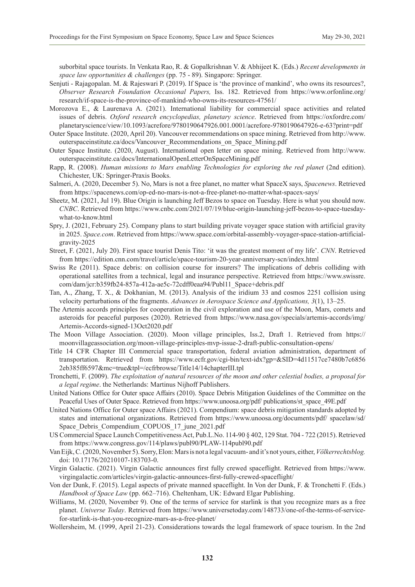suborbital space tourists. In Venkata Rao, R. & Gopalkrishnan V. & Abhijeet K. (Eds.) *Recent developments in space law opportunities & challenges* (pp. 75 - 89). Singapore: Springer.

- Senjuti Rajagopalan. M. & Rajeswari P. (2019). If Space is 'the province of mankind', who owns its resources?, *Observer Research Foundation Occasional Papers,* Iss. 182. Retrieved from [https://www.orfonline.org/](https://www.orfonline.org/research/if-space-is-the-province-of-mankind-who-owns-its-resources-47561/) [research/if-space-is-the-province-of-mankind-who-owns-its-resources-47561/](https://www.orfonline.org/research/if-space-is-the-province-of-mankind-who-owns-its-resources-47561/)
- Morozova E., & Laurenava A. (2021). International liability for commercial space activities and related issues of debris. *Oxford research encyclopedias, planetary science*. Retrieved from [https://oxfordre.com/](https://oxfordre.com/planetaryscience/view/10.1093/acrefore/9780190647926.001.0001/acrefore-9780190647926-e-63?print=pdf) [planetaryscience/view/10.1093/acrefore/9780190647926.001.0001/acrefore-9780190647926-e-63?print=pdf](https://oxfordre.com/planetaryscience/view/10.1093/acrefore/9780190647926.001.0001/acrefore-9780190647926-e-63?print=pdf)
- Outer Space Institute. (2020, April 20). Vancouver recommendations on space mining. Retrieved from [http://www.](http://www.outerspaceinstitute.ca/docs/Vancouver_Recommendations_on_Space_Mining.pdf) [outerspaceinstitute.ca/docs/Vancouver\\_Recommendations\\_on\\_Space\\_Mining.pdf](http://www.outerspaceinstitute.ca/docs/Vancouver_Recommendations_on_Space_Mining.pdf)
- Outer Space Institute. (2020, August). International open letter on space mining. Retrieved from [http://www.](http://www.outerspaceinstitute.ca/docs/InternationalOpenLetterOnSpaceMining.pdf) [outerspaceinstitute.ca/docs/InternationalOpenLetterOnSpaceMining.pdf](http://www.outerspaceinstitute.ca/docs/InternationalOpenLetterOnSpaceMining.pdf)
- Rapp, R. (2008). *Human missions to Mars enabling Technologies for exploring the red planet* (2nd edition). Chichester, UK: Springer-Praxis Books.
- Salmeri, A. (2020, December 5). No, Mars is not a free planet, no matter what SpaceX says, *Spacenews*. Retrieved from <https://spacenews.com/op-ed-no-mars-is-not-a-free-planet-no-matter-what-spacex-says/>
- Sheetz, M. (2021, Jul 19). Blue Origin is launching Jeff Bezos to space on Tuesday. Here is what you should now. *CNBC*. Retrieved from [https://www.cnbc.com/2021/07/19/blue-origin-launching-jeff-bezos-to-space-tuesday](https://www.cnbc.com/2021/07/19/blue-origin-launching-jeff-bezos-to-space-tuesday-what-to-know.html)[what-to-know.html](https://www.cnbc.com/2021/07/19/blue-origin-launching-jeff-bezos-to-space-tuesday-what-to-know.html)
- Spry, J. (2021, February 25). Company plans to start building private voyager space station with artificial gravity in 2025. *Space.com*. Retrieved from [https://www.space.com/orbital-assembly-voyager-space-station-artificial](https://www.space.com/orbital-assembly-voyager-space-station-artificial-gravity-2025)[gravity-2025](https://www.space.com/orbital-assembly-voyager-space-station-artificial-gravity-2025)
- Street, F. (2021, July 20). First space tourist Denis Tito: 'it was the greatest moment of my life'. *CNN*. Retrieved from <https://edition.cnn.com/travel/article/space-tourism-20-year-anniversary-scn/index.html>
- Swiss Re (2011). Space debris: on collision course for insurers? The implications of debris colliding with operational satellites from a technical, legal and insurance perspective. Retrieved from [https://www.swissre.](https://www.swissre.com/dam/jcr:b359fb24-857a-412a-ae5c-72cdff0eaa94/Publ11_Space+debris.pdf) [com/dam/jcr:b359fb24-857a-412a-ae5c-72cdff0eaa94/Publ11\\_Space+debris.pdf](https://www.swissre.com/dam/jcr:b359fb24-857a-412a-ae5c-72cdff0eaa94/Publ11_Space+debris.pdf)
- Tan, A., Zhang, T. X., & Dokhanian, M. (2013). Analysis of the iridium 33 and cosmos 2251 collision using velocity perturbations of the fragments. *Advances in Aerospace Science and Applications, 3*(1), 13–25.
- The Artemis accords principles for cooperation in the civil exploration and use of the Moon, Mars, comets and asteroids for peaceful purposes (2020). Retrieved from [https://www.nasa.gov/specials/artemis-accords/img/](https://www.nasa.gov/specials/artemis-accords/img/Artemis-Accords-signed-13Oct2020.pdf) [Artemis-Accords-signed-13Oct2020.pdf](https://www.nasa.gov/specials/artemis-accords/img/Artemis-Accords-signed-13Oct2020.pdf)
- The Moon Village Association. (2020). Moon village principles, Iss.2, Draft 1. Retrieved from [https://](https://moonvillageassociation.org/moon-village-principles-mvp-issue-2-draft-public-consultation-opens/) [moonvillageassociation.org/moon-village-principles-mvp-issue-2-draft-public-consultation-opens/](https://moonvillageassociation.org/moon-village-principles-mvp-issue-2-draft-public-consultation-opens/)
- Title 14 CFR Chapter III Commercial space transportation, federal aviation administration, department of transportation. Retrieved from [https://www.ecfr.gov/cgi-bin/text-idx?gp=&SID=4d11517ce7480b7c6856](https://www.ecfr.gov/cgi-bin/text-idx?gp=&SID=4d11517ce7480b7c6856 2eb385ff6597&mc=true&tpl=/ecfrbrowse/Title14/14chapterIII.tpl) [2eb385ff6597&mc=true&tpl=/ecfrbrowse/Title14/14chapterIII.tpl](https://www.ecfr.gov/cgi-bin/text-idx?gp=&SID=4d11517ce7480b7c6856 2eb385ff6597&mc=true&tpl=/ecfrbrowse/Title14/14chapterIII.tpl)
- Tronchetti, F. (2009). *The exploitation of natural resources of the moon and other celestial bodies, a proposal for a legal regime*. the Netherlands: Martinus Nijhoff Publishers.
- United Nations Office for Outer space Affairs (2010). Space Debris Mitigation Guidelines of the Committee on the Peaceful Uses of Outer Space. Retrieved from [https://www.unoosa.org/pdf/ publications/st\\_space\\_49E.pdf](https://www.unoosa.org/pdf/ publications/st_space_49E.pdf)
- United Nations Office for Outer space Affairs (2021). Compendium: space debris mitigation standards adopted by states and international organizations. Retrieved from [https://www.unoosa.org/documents/pdf/ spacelaw/sd/](https://www.unoosa.org/documents/pdf/ spacelaw/sd/Space_Debris_Compendium_COPUOS_17_june_2021.pdf) Space Debris Compendium COPUOS 17 june 2021.pdf
- US Commercial Space Launch Competitiveness Act, Pub.L.No. 114-90 § 402, 129 Stat. 704 722 (2015). Retrieved from <https://www.congress.gov/114/plaws/publ90/PLAW-114publ90.pdf>
- Van Eijk, C. (2020, November 5). Sorry, Elon: Mars is not a legal vacuum- and it's not yours, either, *Völkerrechtsblog.* doi: [10.17176/20210107-183703-0](https://doi.org/10.17176/20210107-183703-0).
- Virgin Galactic. (2021). Virgin Galactic announces first fully crewed spaceflight. Retrieved from [https://www.](https://www.virgingalactic.com/articles/virgin-galactic-announces-first-fully-crewed-spaceflight/) [virgingalactic.com/articles/virgin-galactic-announces-first-fully-crewed-spaceflight/](https://www.virgingalactic.com/articles/virgin-galactic-announces-first-fully-crewed-spaceflight/)
- Von der Dunk, F. (2015). Legal aspects of private manned spaceflight. In Von der Dunk, F. & Tronchetti F. (Eds.) *Handbook of Space Law* (pp. 662–716). Cheltenham, UK: Edward Elgar Publishing.
- Williams, M. (2020, November 9). One of the terms of service for starlink is that you recognize mars as a free planet. *Universe Today*. Retrieved from [https://www.universetoday.com/148733/one-of-the-terms-of-service](https://www.universetoday.com/148733/one-of-the-terms-of-service-for-starlink-is-that-you-recognize-mars-as-a-free-planet/)[for-starlink-is-that-you-recognize-mars-as-a-free-planet/](https://www.universetoday.com/148733/one-of-the-terms-of-service-for-starlink-is-that-you-recognize-mars-as-a-free-planet/)
- Wollersheim, M. (1999, April 21-23). Considerations towards the legal framework of space tourism. In the 2nd